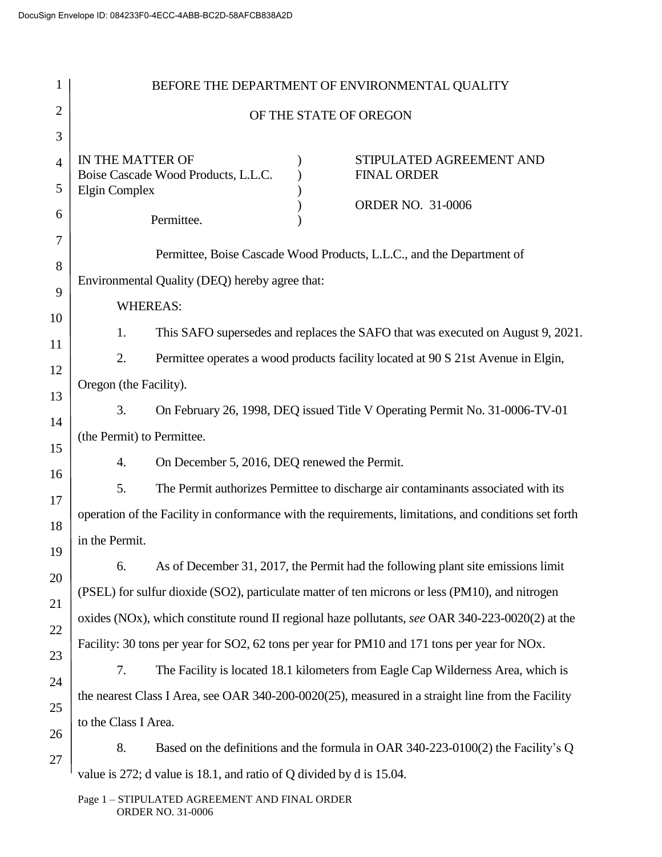| 1              |                                                                                                                                                                                                     |  | BEFORE THE DEPARTMENT OF ENVIRONMENTAL QUALITY                                                        |  |  |  |
|----------------|-----------------------------------------------------------------------------------------------------------------------------------------------------------------------------------------------------|--|-------------------------------------------------------------------------------------------------------|--|--|--|
| 2              | OF THE STATE OF OREGON                                                                                                                                                                              |  |                                                                                                       |  |  |  |
| 3              |                                                                                                                                                                                                     |  |                                                                                                       |  |  |  |
| $\overline{4}$ | IN THE MATTER OF<br>Boise Cascade Wood Products, L.L.C.                                                                                                                                             |  | STIPULATED AGREEMENT AND<br><b>FINAL ORDER</b>                                                        |  |  |  |
| 5<br>6         | <b>Elgin Complex</b><br>Permittee.                                                                                                                                                                  |  | <b>ORDER NO. 31-0006</b>                                                                              |  |  |  |
| 7<br>8         |                                                                                                                                                                                                     |  | Permittee, Boise Cascade Wood Products, L.L.C., and the Department of                                 |  |  |  |
| 9              | Environmental Quality (DEQ) hereby agree that:                                                                                                                                                      |  |                                                                                                       |  |  |  |
| 10             | <b>WHEREAS:</b>                                                                                                                                                                                     |  |                                                                                                       |  |  |  |
| 11             | 1.                                                                                                                                                                                                  |  | This SAFO supersedes and replaces the SAFO that was executed on August 9, 2021.                       |  |  |  |
| 12             | 2.                                                                                                                                                                                                  |  | Permittee operates a wood products facility located at 90 S 21st Avenue in Elgin,                     |  |  |  |
| 13             | Oregon (the Facility).                                                                                                                                                                              |  |                                                                                                       |  |  |  |
| 14             | 3.                                                                                                                                                                                                  |  | On February 26, 1998, DEQ issued Title V Operating Permit No. 31-0006-TV-01                           |  |  |  |
| 15             | (the Permit) to Permittee.                                                                                                                                                                          |  |                                                                                                       |  |  |  |
| 16             | On December 5, 2016, DEQ renewed the Permit.<br>4.                                                                                                                                                  |  |                                                                                                       |  |  |  |
| 17             | 5.                                                                                                                                                                                                  |  | The Permit authorizes Permittee to discharge air contaminants associated with its                     |  |  |  |
| 18             |                                                                                                                                                                                                     |  | operation of the Facility in conformance with the requirements, limitations, and conditions set forth |  |  |  |
| 19             | in the Permit.                                                                                                                                                                                      |  |                                                                                                       |  |  |  |
| 20             | 6.                                                                                                                                                                                                  |  | As of December 31, 2017, the Permit had the following plant site emissions limit                      |  |  |  |
| 21             | (PSEL) for sulfur dioxide (SO2), particulate matter of ten microns or less (PM10), and nitrogen<br>oxides (NOx), which constitute round II regional haze pollutants, see OAR 340-223-0020(2) at the |  |                                                                                                       |  |  |  |
| 22             |                                                                                                                                                                                                     |  |                                                                                                       |  |  |  |
| 23             |                                                                                                                                                                                                     |  | Facility: 30 tons per year for SO2, 62 tons per year for PM10 and 171 tons per year for NOx.          |  |  |  |
| 24             | 7.                                                                                                                                                                                                  |  | The Facility is located 18.1 kilometers from Eagle Cap Wilderness Area, which is                      |  |  |  |
| 25             |                                                                                                                                                                                                     |  | the nearest Class I Area, see OAR 340-200-0020(25), measured in a straight line from the Facility     |  |  |  |
| 26             | to the Class I Area.                                                                                                                                                                                |  |                                                                                                       |  |  |  |
| 27             | 8.                                                                                                                                                                                                  |  | Based on the definitions and the formula in OAR 340-223-0100(2) the Facility's Q                      |  |  |  |
|                | value is 272; d value is 18.1, and ratio of Q divided by d is 15.04.                                                                                                                                |  |                                                                                                       |  |  |  |

Page 1 – STIPULATED AGREEMENT AND FINAL ORDER ORDER NO. 31-0006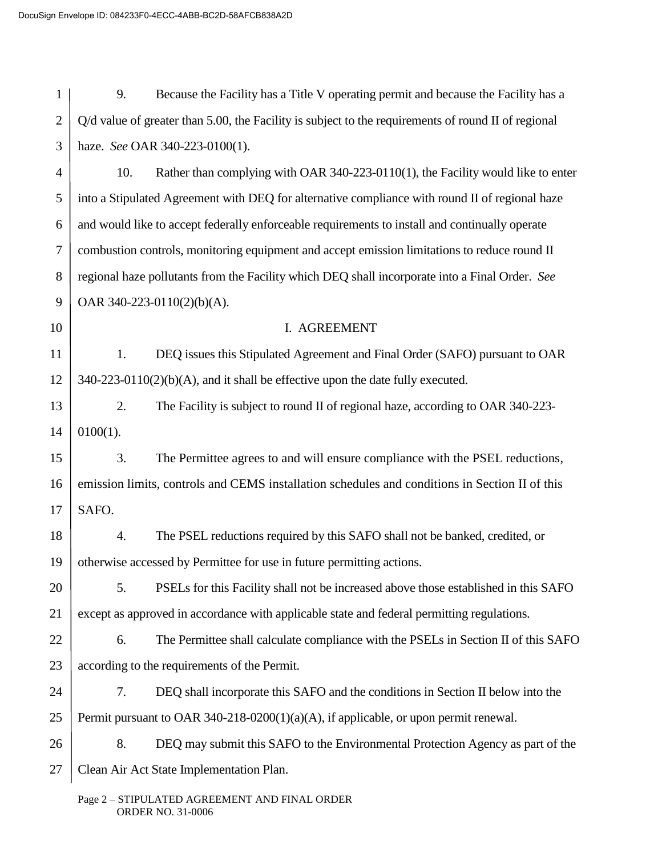1 2 3 4 5 6 7 8 9 10 11 12 13 14 15 16 17 18 19 20 21 22 23 24 25 26 9. Because the Facility has a Title V operating permit and because the Facility has a Q/d value of greater than 5.00, the Facility is subject to the requirements of round II of regional haze. *See* OAR 340-223-0100(1). 10. Rather than complying with OAR 340-223-0110(1), the Facility would like to enter into a Stipulated Agreement with DEQ for alternative compliance with round II of regional haze and would like to accept federally enforceable requirements to install and continually operate combustion controls, monitoring equipment and accept emission limitations to reduce round II regional haze pollutants from the Facility which DEQ shall incorporate into a Final Order. *See* OAR 340-223-0110(2)(b)(A). I. AGREEMENT 1. DEQ issues this Stipulated Agreement and Final Order (SAFO) pursuant to OAR 340-223-0110(2)(b)(A), and it shall be effective upon the date fully executed. 2. The Facility is subject to round II of regional haze, according to OAR 340-223-  $0100(1)$ . 3. The Permittee agrees to and will ensure compliance with the PSEL reductions, emission limits, controls and CEMS installation schedules and conditions in Section II of this SAFO. 4. The PSEL reductions required by this SAFO shall not be banked, credited, or otherwise accessed by Permittee for use in future permitting actions. 5. PSELs for this Facility shall not be increased above those established in this SAFO except as approved in accordance with applicable state and federal permitting regulations. 6. The Permittee shall calculate compliance with the PSELs in Section II of this SAFO according to the requirements of the Permit. 7. DEQ shall incorporate this SAFO and the conditions in Section II below into the Permit pursuant to OAR 340-218-0200(1)(a)(A), if applicable, or upon permit renewal. 8. DEQ may submit this SAFO to the Environmental Protection Agency as part of the

27 Clean Air Act State Implementation Plan.

> Page 2 – STIPULATED AGREEMENT AND FINAL ORDER ORDER NO. 31-0006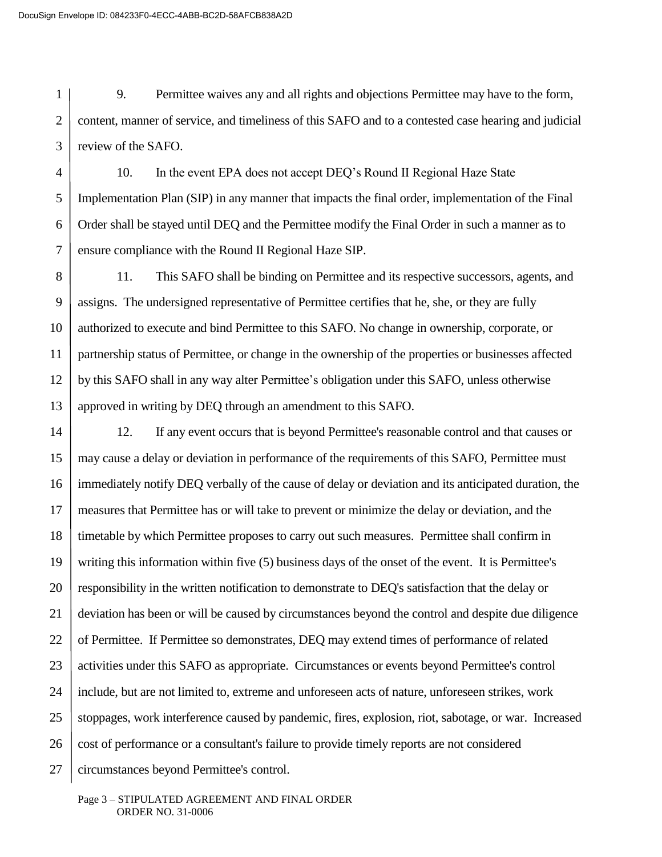1 2 3 9. Permittee waives any and all rights and objections Permittee may have to the form, content, manner of service, and timeliness of this SAFO and to a contested case hearing and judicial review of the SAFO.

4 5 6 7 10. In the event EPA does not accept DEQ's Round II Regional Haze State Implementation Plan (SIP) in any manner that impacts the final order, implementation of the Final Order shall be stayed until DEQ and the Permittee modify the Final Order in such a manner as to ensure compliance with the Round II Regional Haze SIP.

8 9 10 11 12 13 11. This SAFO shall be binding on Permittee and its respective successors, agents, and assigns. The undersigned representative of Permittee certifies that he, she, or they are fully authorized to execute and bind Permittee to this SAFO. No change in ownership, corporate, or partnership status of Permittee, or change in the ownership of the properties or businesses affected by this SAFO shall in any way alter Permittee's obligation under this SAFO, unless otherwise approved in writing by DEQ through an amendment to this SAFO.

14 15 16 17 18 19 20 21 22 23 24 25 26 27 12. If any event occurs that is beyond Permittee's reasonable control and that causes or may cause a delay or deviation in performance of the requirements of this SAFO, Permittee must immediately notify DEQ verbally of the cause of delay or deviation and its anticipated duration, the measures that Permittee has or will take to prevent or minimize the delay or deviation, and the timetable by which Permittee proposes to carry out such measures. Permittee shall confirm in writing this information within five (5) business days of the onset of the event. It is Permittee's responsibility in the written notification to demonstrate to DEQ's satisfaction that the delay or deviation has been or will be caused by circumstances beyond the control and despite due diligence of Permittee. If Permittee so demonstrates, DEQ may extend times of performance of related activities under this SAFO as appropriate. Circumstances or events beyond Permittee's control include, but are not limited to, extreme and unforeseen acts of nature, unforeseen strikes, work stoppages, work interference caused by pandemic, fires, explosion, riot, sabotage, or war. Increased cost of performance or a consultant's failure to provide timely reports are not considered circumstances beyond Permittee's control.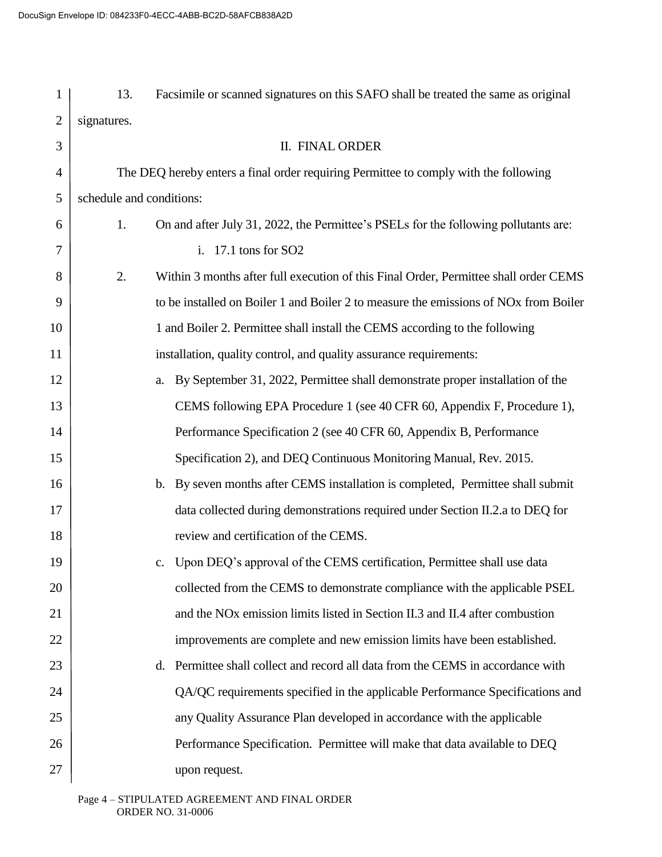| 1              | 13.                                                                                  | Facsimile or scanned signatures on this SAFO shall be treated the same as original               |  |
|----------------|--------------------------------------------------------------------------------------|--------------------------------------------------------------------------------------------------|--|
| $\overline{2}$ | signatures.                                                                          |                                                                                                  |  |
| 3              |                                                                                      | II. FINAL ORDER                                                                                  |  |
| $\overline{4}$ | The DEQ hereby enters a final order requiring Permittee to comply with the following |                                                                                                  |  |
| 5              | schedule and conditions:                                                             |                                                                                                  |  |
| 6              | 1.                                                                                   | On and after July 31, 2022, the Permittee's PSELs for the following pollutants are:              |  |
| 7              |                                                                                      | i. $17.1$ tons for SO2                                                                           |  |
| 8              | 2.                                                                                   | Within 3 months after full execution of this Final Order, Permittee shall order CEMS             |  |
| 9              |                                                                                      | to be installed on Boiler 1 and Boiler 2 to measure the emissions of NO <sub>x</sub> from Boiler |  |
| 10             |                                                                                      | 1 and Boiler 2. Permittee shall install the CEMS according to the following                      |  |
| 11             |                                                                                      | installation, quality control, and quality assurance requirements:                               |  |
| 12             |                                                                                      | By September 31, 2022, Permittee shall demonstrate proper installation of the<br>a.              |  |
| 13             |                                                                                      | CEMS following EPA Procedure 1 (see 40 CFR 60, Appendix F, Procedure 1),                         |  |
| 14             |                                                                                      | Performance Specification 2 (see 40 CFR 60, Appendix B, Performance                              |  |
| 15             |                                                                                      | Specification 2), and DEQ Continuous Monitoring Manual, Rev. 2015.                               |  |
| 16             |                                                                                      | By seven months after CEMS installation is completed, Permittee shall submit<br>$\mathbf b$ .    |  |
| 17             |                                                                                      | data collected during demonstrations required under Section II.2.a to DEQ for                    |  |
| 18             |                                                                                      | review and certification of the CEMS.                                                            |  |
| 19             |                                                                                      | Upon DEQ's approval of the CEMS certification, Permittee shall use data<br>$\mathbf{c}$ .        |  |
| 20             |                                                                                      | collected from the CEMS to demonstrate compliance with the applicable PSEL                       |  |
| 21             |                                                                                      | and the NO <sub>x</sub> emission limits listed in Section II.3 and II.4 after combustion         |  |
| 22             |                                                                                      | improvements are complete and new emission limits have been established.                         |  |
| 23             |                                                                                      | Permittee shall collect and record all data from the CEMS in accordance with<br>d.               |  |
| 24             |                                                                                      | QA/QC requirements specified in the applicable Performance Specifications and                    |  |
| 25             |                                                                                      | any Quality Assurance Plan developed in accordance with the applicable                           |  |
| 26             |                                                                                      | Performance Specification. Permittee will make that data available to DEQ                        |  |
| 27             |                                                                                      | upon request.                                                                                    |  |
|                |                                                                                      |                                                                                                  |  |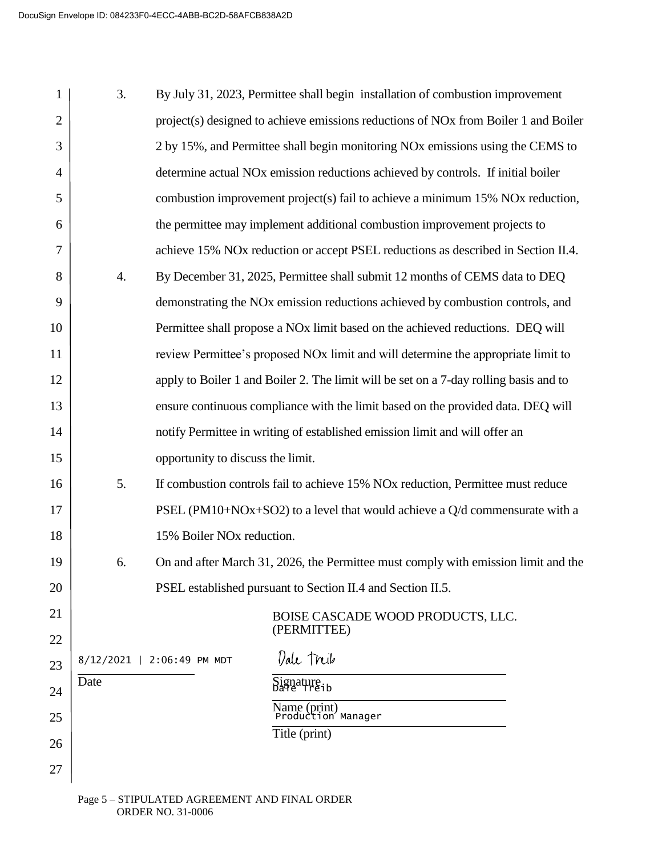| 1              | 3.   | By July 31, 2023, Permittee shall begin installation of combustion improvement                  |
|----------------|------|-------------------------------------------------------------------------------------------------|
| $\overline{2}$ |      | project(s) designed to achieve emissions reductions of NO <sub>x</sub> from Boiler 1 and Boiler |
| 3              |      | 2 by 15%, and Permittee shall begin monitoring NO <sub>x</sub> emissions using the CEMS to      |
| $\overline{4}$ |      | determine actual NO <sub>x</sub> emission reductions achieved by controls. If initial boiler    |
| 5              |      | combustion improvement project(s) fail to achieve a minimum 15% NOx reduction,                  |
| 6              |      | the permittee may implement additional combustion improvement projects to                       |
| 7              |      | achieve 15% NO <sub>x</sub> reduction or accept PSEL reductions as described in Section II.4.   |
| 8              | 4.   | By December 31, 2025, Permittee shall submit 12 months of CEMS data to DEQ                      |
| 9              |      | demonstrating the NO <sub>x</sub> emission reductions achieved by combustion controls, and      |
| 10             |      | Permittee shall propose a NO <sub>x</sub> limit based on the achieved reductions. DEQ will      |
| 11             |      | review Permittee's proposed NO <sub>x</sub> limit and will determine the appropriate limit to   |
| 12             |      | apply to Boiler 1 and Boiler 2. The limit will be set on a 7-day rolling basis and to           |
| 13             |      | ensure continuous compliance with the limit based on the provided data. DEQ will                |
| 14             |      | notify Permittee in writing of established emission limit and will offer an                     |
| 15             |      | opportunity to discuss the limit.                                                               |
| 16             | 5.   | If combustion controls fail to achieve 15% NO <sub>x</sub> reduction, Permittee must reduce     |
| 17             |      | PSEL (PM10+NOx+SO2) to a level that would achieve a $Q/d$ commensurate with a                   |
| 18             |      | 15% Boiler NO <sub>x</sub> reduction.                                                           |
| 19             | 6.   | On and after March 31, 2026, the Permittee must comply with emission limit and the              |
| 20             |      | PSEL established pursuant to Section II.4 and Section II.5.                                     |
| 21             |      | BOISE CASCADE WOOD PRODUCTS, LLC.                                                               |
| 22             |      | (PERMITTEE)                                                                                     |
| 23             |      | Dale Treib<br>8/12/2021   2:06:49 PM MDT                                                        |
| 24             | Date | Signature.<br>Dale Treib                                                                        |
| 25             |      | Name (print)<br>Production Manager                                                              |
| 26             |      | Title (print)                                                                                   |
| 27             |      |                                                                                                 |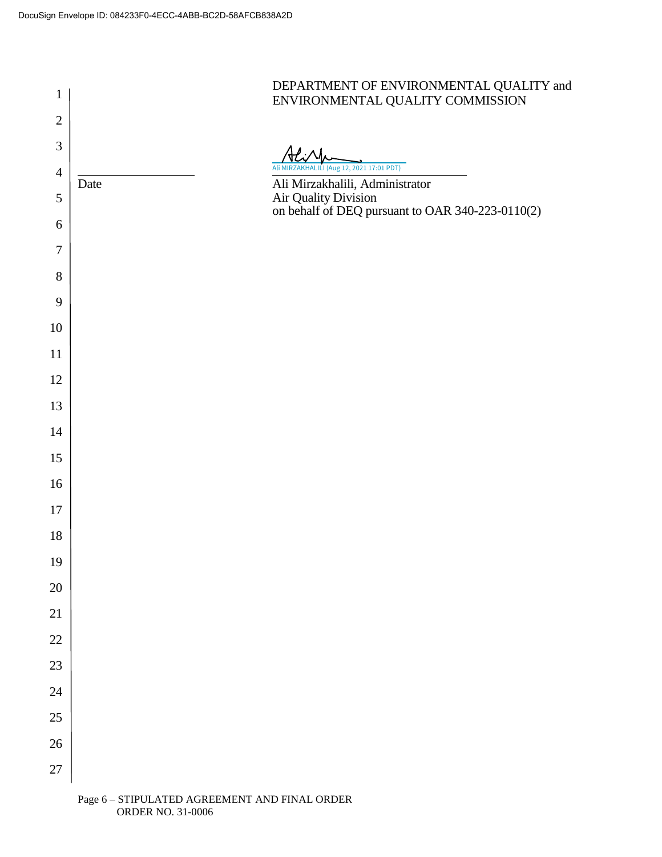

ORDER NO. 31-0006